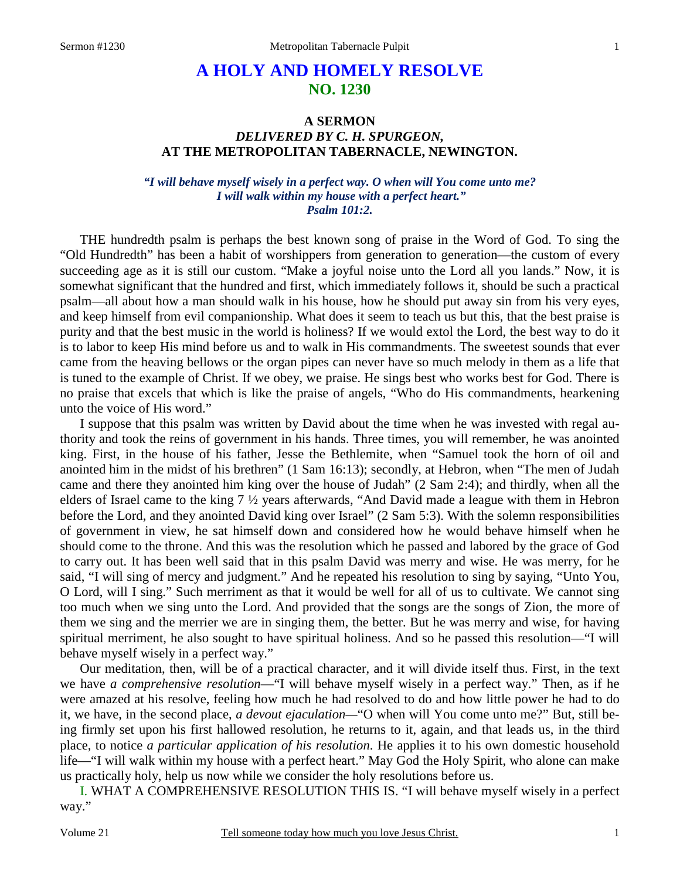# **A HOLY AND HOMELY RESOLVE NO. 1230**

## **A SERMON**  *DELIVERED BY C. H. SPURGEON,*  **AT THE METROPOLITAN TABERNACLE, NEWINGTON.**

### *"I will behave myself wisely in a perfect way. O when will You come unto me? I will walk within my house with a perfect heart." Psalm 101:2.*

THE hundredth psalm is perhaps the best known song of praise in the Word of God. To sing the "Old Hundredth" has been a habit of worshippers from generation to generation—the custom of every succeeding age as it is still our custom. "Make a joyful noise unto the Lord all you lands." Now, it is somewhat significant that the hundred and first, which immediately follows it, should be such a practical psalm—all about how a man should walk in his house, how he should put away sin from his very eyes, and keep himself from evil companionship. What does it seem to teach us but this, that the best praise is purity and that the best music in the world is holiness? If we would extol the Lord, the best way to do it is to labor to keep His mind before us and to walk in His commandments. The sweetest sounds that ever came from the heaving bellows or the organ pipes can never have so much melody in them as a life that is tuned to the example of Christ. If we obey, we praise. He sings best who works best for God. There is no praise that excels that which is like the praise of angels, "Who do His commandments, hearkening unto the voice of His word."

I suppose that this psalm was written by David about the time when he was invested with regal authority and took the reins of government in his hands. Three times, you will remember, he was anointed king. First, in the house of his father, Jesse the Bethlemite, when "Samuel took the horn of oil and anointed him in the midst of his brethren" (1 Sam 16:13); secondly, at Hebron, when "The men of Judah came and there they anointed him king over the house of Judah" (2 Sam 2:4); and thirdly, when all the elders of Israel came to the king 7 ½ years afterwards, "And David made a league with them in Hebron before the Lord, and they anointed David king over Israel" (2 Sam 5:3). With the solemn responsibilities of government in view, he sat himself down and considered how he would behave himself when he should come to the throne. And this was the resolution which he passed and labored by the grace of God to carry out. It has been well said that in this psalm David was merry and wise. He was merry, for he said, "I will sing of mercy and judgment." And he repeated his resolution to sing by saying, "Unto You, O Lord, will I sing." Such merriment as that it would be well for all of us to cultivate. We cannot sing too much when we sing unto the Lord. And provided that the songs are the songs of Zion, the more of them we sing and the merrier we are in singing them, the better. But he was merry and wise, for having spiritual merriment, he also sought to have spiritual holiness. And so he passed this resolution—"I will behave myself wisely in a perfect way."

Our meditation, then, will be of a practical character, and it will divide itself thus. First, in the text we have *a comprehensive resolution*—"I will behave myself wisely in a perfect way." Then, as if he were amazed at his resolve, feeling how much he had resolved to do and how little power he had to do it, we have, in the second place, *a devout ejaculation—*"O when will You come unto me?" But, still being firmly set upon his first hallowed resolution, he returns to it, again, and that leads us, in the third place, to notice *a particular application of his resolution*. He applies it to his own domestic household life—"I will walk within my house with a perfect heart." May God the Holy Spirit, who alone can make us practically holy, help us now while we consider the holy resolutions before us.

I. WHAT A COMPREHENSIVE RESOLUTION THIS IS. "I will behave myself wisely in a perfect way."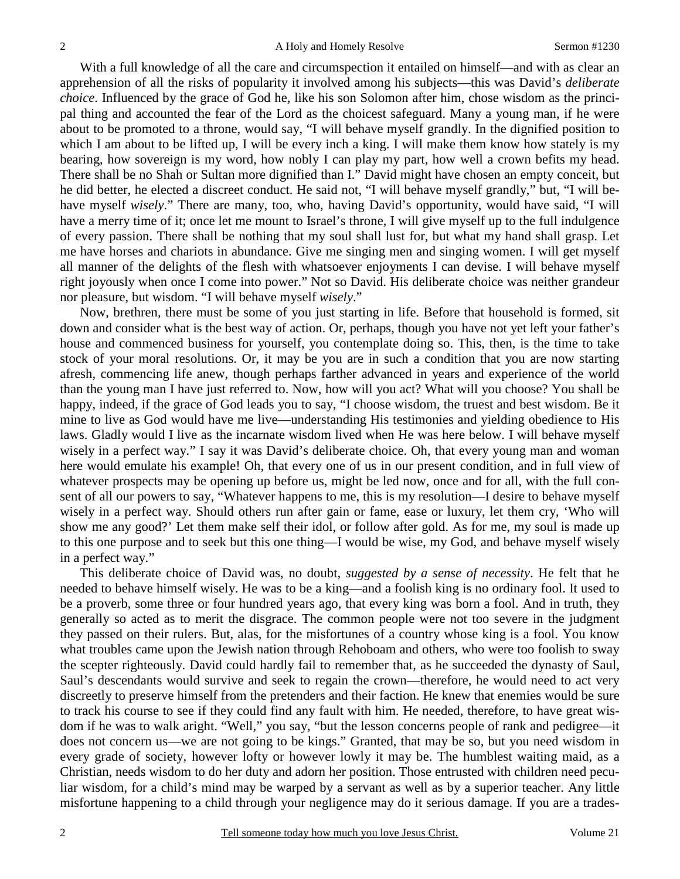With a full knowledge of all the care and circumspection it entailed on himself—and with as clear an apprehension of all the risks of popularity it involved among his subjects—this was David's *deliberate choice*. Influenced by the grace of God he, like his son Solomon after him, chose wisdom as the principal thing and accounted the fear of the Lord as the choicest safeguard. Many a young man, if he were about to be promoted to a throne, would say, "I will behave myself grandly. In the dignified position to which I am about to be lifted up, I will be every inch a king. I will make them know how stately is my bearing, how sovereign is my word, how nobly I can play my part, how well a crown befits my head. There shall be no Shah or Sultan more dignified than I." David might have chosen an empty conceit, but he did better, he elected a discreet conduct. He said not, "I will behave myself grandly," but, "I will behave myself *wisely*." There are many, too, who, having David's opportunity, would have said, "I will have a merry time of it; once let me mount to Israel's throne, I will give myself up to the full indulgence of every passion. There shall be nothing that my soul shall lust for, but what my hand shall grasp. Let me have horses and chariots in abundance. Give me singing men and singing women. I will get myself all manner of the delights of the flesh with whatsoever enjoyments I can devise. I will behave myself right joyously when once I come into power." Not so David. His deliberate choice was neither grandeur nor pleasure, but wisdom. "I will behave myself *wisely*."

Now, brethren, there must be some of you just starting in life. Before that household is formed, sit down and consider what is the best way of action. Or, perhaps, though you have not yet left your father's house and commenced business for yourself, you contemplate doing so. This, then, is the time to take stock of your moral resolutions. Or, it may be you are in such a condition that you are now starting afresh, commencing life anew, though perhaps farther advanced in years and experience of the world than the young man I have just referred to. Now, how will you act? What will you choose? You shall be happy, indeed, if the grace of God leads you to say, "I choose wisdom, the truest and best wisdom. Be it mine to live as God would have me live—understanding His testimonies and yielding obedience to His laws. Gladly would I live as the incarnate wisdom lived when He was here below. I will behave myself wisely in a perfect way." I say it was David's deliberate choice. Oh, that every young man and woman here would emulate his example! Oh, that every one of us in our present condition, and in full view of whatever prospects may be opening up before us, might be led now, once and for all, with the full consent of all our powers to say, "Whatever happens to me, this is my resolution—I desire to behave myself wisely in a perfect way. Should others run after gain or fame, ease or luxury, let them cry, 'Who will show me any good?' Let them make self their idol, or follow after gold. As for me, my soul is made up to this one purpose and to seek but this one thing—I would be wise, my God, and behave myself wisely in a perfect way."

This deliberate choice of David was, no doubt, *suggested by a sense of necessity*. He felt that he needed to behave himself wisely. He was to be a king—and a foolish king is no ordinary fool. It used to be a proverb, some three or four hundred years ago, that every king was born a fool. And in truth, they generally so acted as to merit the disgrace. The common people were not too severe in the judgment they passed on their rulers. But, alas, for the misfortunes of a country whose king is a fool. You know what troubles came upon the Jewish nation through Rehoboam and others, who were too foolish to sway the scepter righteously. David could hardly fail to remember that, as he succeeded the dynasty of Saul, Saul's descendants would survive and seek to regain the crown—therefore, he would need to act very discreetly to preserve himself from the pretenders and their faction. He knew that enemies would be sure to track his course to see if they could find any fault with him. He needed, therefore, to have great wisdom if he was to walk aright. "Well," you say, "but the lesson concerns people of rank and pedigree—it does not concern us—we are not going to be kings." Granted, that may be so, but you need wisdom in every grade of society, however lofty or however lowly it may be. The humblest waiting maid, as a Christian, needs wisdom to do her duty and adorn her position. Those entrusted with children need peculiar wisdom, for a child's mind may be warped by a servant as well as by a superior teacher. Any little misfortune happening to a child through your negligence may do it serious damage. If you are a trades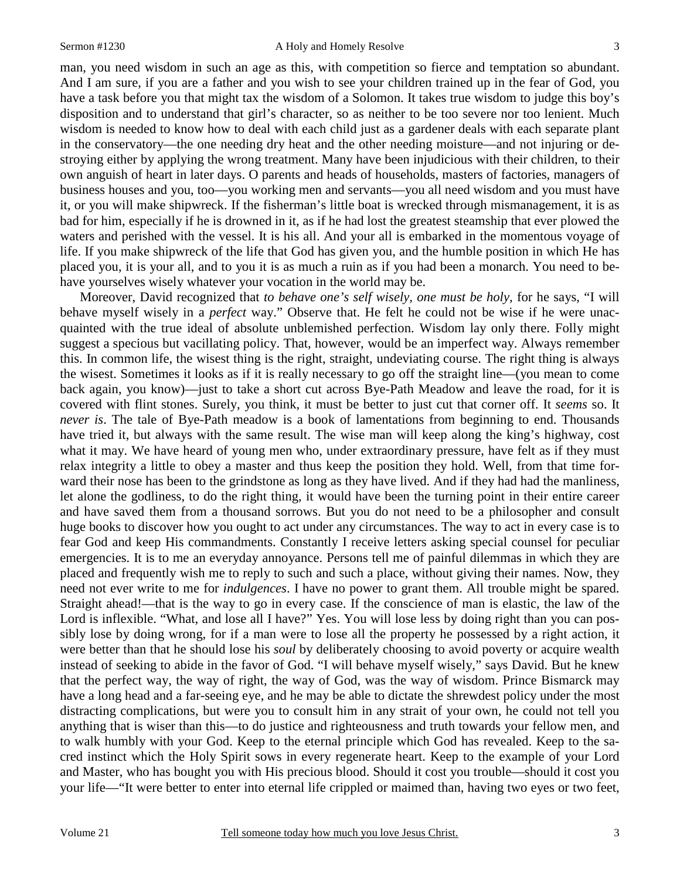man, you need wisdom in such an age as this, with competition so fierce and temptation so abundant. And I am sure, if you are a father and you wish to see your children trained up in the fear of God, you have a task before you that might tax the wisdom of a Solomon. It takes true wisdom to judge this boy's disposition and to understand that girl's character, so as neither to be too severe nor too lenient. Much wisdom is needed to know how to deal with each child just as a gardener deals with each separate plant in the conservatory—the one needing dry heat and the other needing moisture—and not injuring or destroying either by applying the wrong treatment. Many have been injudicious with their children, to their own anguish of heart in later days. O parents and heads of households, masters of factories, managers of business houses and you, too—you working men and servants—you all need wisdom and you must have it, or you will make shipwreck. If the fisherman's little boat is wrecked through mismanagement, it is as bad for him, especially if he is drowned in it, as if he had lost the greatest steamship that ever plowed the waters and perished with the vessel. It is his all. And your all is embarked in the momentous voyage of life. If you make shipwreck of the life that God has given you, and the humble position in which He has placed you, it is your all, and to you it is as much a ruin as if you had been a monarch. You need to behave yourselves wisely whatever your vocation in the world may be.

Moreover, David recognized that *to behave one's self wisely, one must be holy,* for he says, "I will behave myself wisely in a *perfect* way." Observe that. He felt he could not be wise if he were unacquainted with the true ideal of absolute unblemished perfection. Wisdom lay only there. Folly might suggest a specious but vacillating policy. That, however, would be an imperfect way. Always remember this. In common life, the wisest thing is the right, straight, undeviating course. The right thing is always the wisest. Sometimes it looks as if it is really necessary to go off the straight line—(you mean to come back again, you know)—just to take a short cut across Bye-Path Meadow and leave the road, for it is covered with flint stones. Surely, you think, it must be better to just cut that corner off. It *seems* so. It *never is*. The tale of Bye-Path meadow is a book of lamentations from beginning to end. Thousands have tried it, but always with the same result. The wise man will keep along the king's highway, cost what it may. We have heard of young men who, under extraordinary pressure, have felt as if they must relax integrity a little to obey a master and thus keep the position they hold. Well, from that time forward their nose has been to the grindstone as long as they have lived. And if they had had the manliness, let alone the godliness, to do the right thing, it would have been the turning point in their entire career and have saved them from a thousand sorrows. But you do not need to be a philosopher and consult huge books to discover how you ought to act under any circumstances. The way to act in every case is to fear God and keep His commandments. Constantly I receive letters asking special counsel for peculiar emergencies. It is to me an everyday annoyance. Persons tell me of painful dilemmas in which they are placed and frequently wish me to reply to such and such a place, without giving their names. Now, they need not ever write to me for *indulgences*. I have no power to grant them. All trouble might be spared. Straight ahead!—that is the way to go in every case. If the conscience of man is elastic, the law of the Lord is inflexible. "What, and lose all I have?" Yes. You will lose less by doing right than you can possibly lose by doing wrong, for if a man were to lose all the property he possessed by a right action, it were better than that he should lose his *soul* by deliberately choosing to avoid poverty or acquire wealth instead of seeking to abide in the favor of God. "I will behave myself wisely," says David. But he knew that the perfect way, the way of right, the way of God, was the way of wisdom. Prince Bismarck may have a long head and a far-seeing eye, and he may be able to dictate the shrewdest policy under the most distracting complications, but were you to consult him in any strait of your own, he could not tell you anything that is wiser than this—to do justice and righteousness and truth towards your fellow men, and to walk humbly with your God. Keep to the eternal principle which God has revealed. Keep to the sacred instinct which the Holy Spirit sows in every regenerate heart. Keep to the example of your Lord and Master, who has bought you with His precious blood. Should it cost you trouble—should it cost you your life—"It were better to enter into eternal life crippled or maimed than, having two eyes or two feet,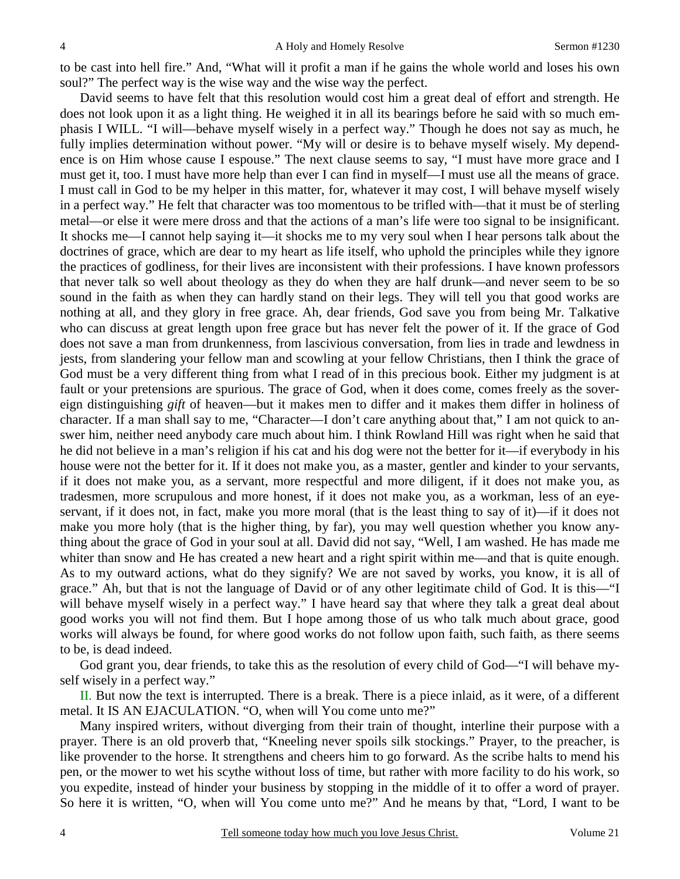to be cast into hell fire." And, "What will it profit a man if he gains the whole world and loses his own soul?" The perfect way is the wise way and the wise way the perfect.

David seems to have felt that this resolution would cost him a great deal of effort and strength. He does not look upon it as a light thing. He weighed it in all its bearings before he said with so much emphasis I WILL. "I will—behave myself wisely in a perfect way." Though he does not say as much, he fully implies determination without power. "My will or desire is to behave myself wisely. My dependence is on Him whose cause I espouse." The next clause seems to say, "I must have more grace and I must get it, too. I must have more help than ever I can find in myself—I must use all the means of grace. I must call in God to be my helper in this matter, for, whatever it may cost, I will behave myself wisely in a perfect way." He felt that character was too momentous to be trifled with—that it must be of sterling metal—or else it were mere dross and that the actions of a man's life were too signal to be insignificant. It shocks me—I cannot help saying it—it shocks me to my very soul when I hear persons talk about the doctrines of grace, which are dear to my heart as life itself, who uphold the principles while they ignore the practices of godliness, for their lives are inconsistent with their professions. I have known professors that never talk so well about theology as they do when they are half drunk—and never seem to be so sound in the faith as when they can hardly stand on their legs. They will tell you that good works are nothing at all, and they glory in free grace. Ah, dear friends, God save you from being Mr. Talkative who can discuss at great length upon free grace but has never felt the power of it. If the grace of God does not save a man from drunkenness, from lascivious conversation, from lies in trade and lewdness in jests, from slandering your fellow man and scowling at your fellow Christians, then I think the grace of God must be a very different thing from what I read of in this precious book. Either my judgment is at fault or your pretensions are spurious. The grace of God, when it does come, comes freely as the sovereign distinguishing *gift* of heaven—but it makes men to differ and it makes them differ in holiness of character. If a man shall say to me, "Character—I don't care anything about that," I am not quick to answer him, neither need anybody care much about him. I think Rowland Hill was right when he said that he did not believe in a man's religion if his cat and his dog were not the better for it—if everybody in his house were not the better for it. If it does not make you, as a master, gentler and kinder to your servants, if it does not make you, as a servant, more respectful and more diligent, if it does not make you, as tradesmen, more scrupulous and more honest, if it does not make you, as a workman, less of an eyeservant, if it does not, in fact, make you more moral (that is the least thing to say of it)—if it does not make you more holy (that is the higher thing, by far), you may well question whether you know anything about the grace of God in your soul at all. David did not say, "Well, I am washed. He has made me whiter than snow and He has created a new heart and a right spirit within me—and that is quite enough. As to my outward actions, what do they signify? We are not saved by works, you know, it is all of grace." Ah, but that is not the language of David or of any other legitimate child of God. It is this—"I will behave myself wisely in a perfect way." I have heard say that where they talk a great deal about good works you will not find them. But I hope among those of us who talk much about grace, good works will always be found, for where good works do not follow upon faith, such faith, as there seems to be, is dead indeed.

God grant you, dear friends, to take this as the resolution of every child of God—"I will behave myself wisely in a perfect way."

II. But now the text is interrupted. There is a break. There is a piece inlaid, as it were, of a different metal. It IS AN EJACULATION. "O, when will You come unto me?"

Many inspired writers, without diverging from their train of thought, interline their purpose with a prayer. There is an old proverb that, "Kneeling never spoils silk stockings." Prayer, to the preacher, is like provender to the horse. It strengthens and cheers him to go forward. As the scribe halts to mend his pen, or the mower to wet his scythe without loss of time, but rather with more facility to do his work, so you expedite, instead of hinder your business by stopping in the middle of it to offer a word of prayer. So here it is written, "O, when will You come unto me?" And he means by that, "Lord, I want to be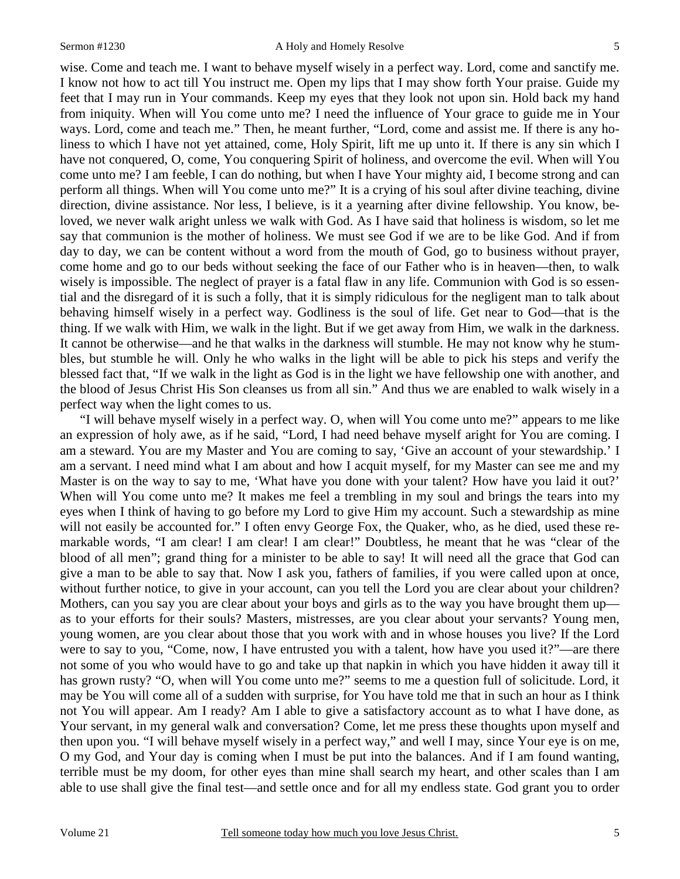wise. Come and teach me. I want to behave myself wisely in a perfect way. Lord, come and sanctify me. I know not how to act till You instruct me. Open my lips that I may show forth Your praise. Guide my feet that I may run in Your commands. Keep my eyes that they look not upon sin. Hold back my hand from iniquity. When will You come unto me? I need the influence of Your grace to guide me in Your ways. Lord, come and teach me." Then, he meant further, "Lord, come and assist me. If there is any holiness to which I have not yet attained, come, Holy Spirit, lift me up unto it. If there is any sin which I have not conquered, O, come, You conquering Spirit of holiness, and overcome the evil. When will You come unto me? I am feeble, I can do nothing, but when I have Your mighty aid, I become strong and can perform all things. When will You come unto me?" It is a crying of his soul after divine teaching, divine direction, divine assistance. Nor less, I believe, is it a yearning after divine fellowship. You know, beloved, we never walk aright unless we walk with God. As I have said that holiness is wisdom, so let me say that communion is the mother of holiness. We must see God if we are to be like God. And if from day to day, we can be content without a word from the mouth of God, go to business without prayer, come home and go to our beds without seeking the face of our Father who is in heaven—then, to walk wisely is impossible. The neglect of prayer is a fatal flaw in any life. Communion with God is so essential and the disregard of it is such a folly, that it is simply ridiculous for the negligent man to talk about behaving himself wisely in a perfect way. Godliness is the soul of life. Get near to God—that is the thing. If we walk with Him, we walk in the light. But if we get away from Him, we walk in the darkness. It cannot be otherwise—and he that walks in the darkness will stumble. He may not know why he stumbles, but stumble he will. Only he who walks in the light will be able to pick his steps and verify the blessed fact that, "If we walk in the light as God is in the light we have fellowship one with another, and the blood of Jesus Christ His Son cleanses us from all sin." And thus we are enabled to walk wisely in a perfect way when the light comes to us.

"I will behave myself wisely in a perfect way. O, when will You come unto me?" appears to me like an expression of holy awe, as if he said, "Lord, I had need behave myself aright for You are coming. I am a steward. You are my Master and You are coming to say, 'Give an account of your stewardship.' I am a servant. I need mind what I am about and how I acquit myself, for my Master can see me and my Master is on the way to say to me, 'What have you done with your talent? How have you laid it out?' When will You come unto me? It makes me feel a trembling in my soul and brings the tears into my eyes when I think of having to go before my Lord to give Him my account. Such a stewardship as mine will not easily be accounted for." I often envy George Fox, the Quaker, who, as he died, used these remarkable words, "I am clear! I am clear! I am clear!" Doubtless, he meant that he was "clear of the blood of all men"; grand thing for a minister to be able to say! It will need all the grace that God can give a man to be able to say that. Now I ask you, fathers of families, if you were called upon at once, without further notice, to give in your account, can you tell the Lord you are clear about your children? Mothers, can you say you are clear about your boys and girls as to the way you have brought them up as to your efforts for their souls? Masters, mistresses, are you clear about your servants? Young men, young women, are you clear about those that you work with and in whose houses you live? If the Lord were to say to you, "Come, now, I have entrusted you with a talent, how have you used it?"—are there not some of you who would have to go and take up that napkin in which you have hidden it away till it has grown rusty? "O, when will You come unto me?" seems to me a question full of solicitude. Lord, it may be You will come all of a sudden with surprise, for You have told me that in such an hour as I think not You will appear. Am I ready? Am I able to give a satisfactory account as to what I have done, as Your servant, in my general walk and conversation? Come, let me press these thoughts upon myself and then upon you. "I will behave myself wisely in a perfect way," and well I may, since Your eye is on me, O my God, and Your day is coming when I must be put into the balances. And if I am found wanting, terrible must be my doom, for other eyes than mine shall search my heart, and other scales than I am able to use shall give the final test—and settle once and for all my endless state. God grant you to order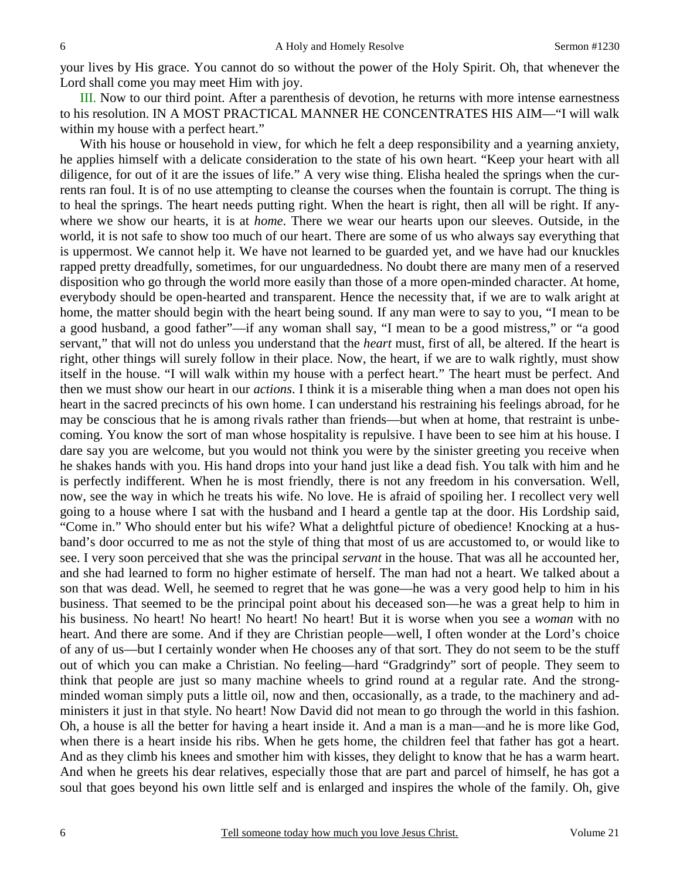your lives by His grace. You cannot do so without the power of the Holy Spirit. Oh, that whenever the Lord shall come you may meet Him with joy.

III. Now to our third point. After a parenthesis of devotion, he returns with more intense earnestness to his resolution. IN A MOST PRACTICAL MANNER HE CONCENTRATES HIS AIM—"I will walk within my house with a perfect heart."

With his house or household in view, for which he felt a deep responsibility and a yearning anxiety, he applies himself with a delicate consideration to the state of his own heart. "Keep your heart with all diligence, for out of it are the issues of life." A very wise thing. Elisha healed the springs when the currents ran foul. It is of no use attempting to cleanse the courses when the fountain is corrupt. The thing is to heal the springs. The heart needs putting right. When the heart is right, then all will be right. If anywhere we show our hearts, it is at *home*. There we wear our hearts upon our sleeves. Outside, in the world, it is not safe to show too much of our heart. There are some of us who always say everything that is uppermost. We cannot help it. We have not learned to be guarded yet, and we have had our knuckles rapped pretty dreadfully, sometimes, for our unguardedness. No doubt there are many men of a reserved disposition who go through the world more easily than those of a more open-minded character. At home, everybody should be open-hearted and transparent. Hence the necessity that, if we are to walk aright at home, the matter should begin with the heart being sound. If any man were to say to you, "I mean to be a good husband, a good father"—if any woman shall say, "I mean to be a good mistress," or "a good servant," that will not do unless you understand that the *heart* must, first of all, be altered. If the heart is right, other things will surely follow in their place. Now, the heart, if we are to walk rightly, must show itself in the house. "I will walk within my house with a perfect heart." The heart must be perfect. And then we must show our heart in our *actions*. I think it is a miserable thing when a man does not open his heart in the sacred precincts of his own home. I can understand his restraining his feelings abroad, for he may be conscious that he is among rivals rather than friends—but when at home, that restraint is unbecoming. You know the sort of man whose hospitality is repulsive. I have been to see him at his house. I dare say you are welcome, but you would not think you were by the sinister greeting you receive when he shakes hands with you. His hand drops into your hand just like a dead fish. You talk with him and he is perfectly indifferent. When he is most friendly, there is not any freedom in his conversation. Well, now, see the way in which he treats his wife. No love. He is afraid of spoiling her. I recollect very well going to a house where I sat with the husband and I heard a gentle tap at the door. His Lordship said, "Come in." Who should enter but his wife? What a delightful picture of obedience! Knocking at a husband's door occurred to me as not the style of thing that most of us are accustomed to, or would like to see. I very soon perceived that she was the principal *servant* in the house. That was all he accounted her, and she had learned to form no higher estimate of herself. The man had not a heart. We talked about a son that was dead. Well, he seemed to regret that he was gone—he was a very good help to him in his business. That seemed to be the principal point about his deceased son—he was a great help to him in his business. No heart! No heart! No heart! No heart! But it is worse when you see a *woman* with no heart. And there are some. And if they are Christian people—well, I often wonder at the Lord's choice of any of us—but I certainly wonder when He chooses any of that sort. They do not seem to be the stuff out of which you can make a Christian. No feeling—hard "Gradgrindy" sort of people. They seem to think that people are just so many machine wheels to grind round at a regular rate. And the strongminded woman simply puts a little oil, now and then, occasionally, as a trade, to the machinery and administers it just in that style. No heart! Now David did not mean to go through the world in this fashion. Oh, a house is all the better for having a heart inside it. And a man is a man—and he is more like God, when there is a heart inside his ribs. When he gets home, the children feel that father has got a heart. And as they climb his knees and smother him with kisses, they delight to know that he has a warm heart. And when he greets his dear relatives, especially those that are part and parcel of himself, he has got a soul that goes beyond his own little self and is enlarged and inspires the whole of the family. Oh, give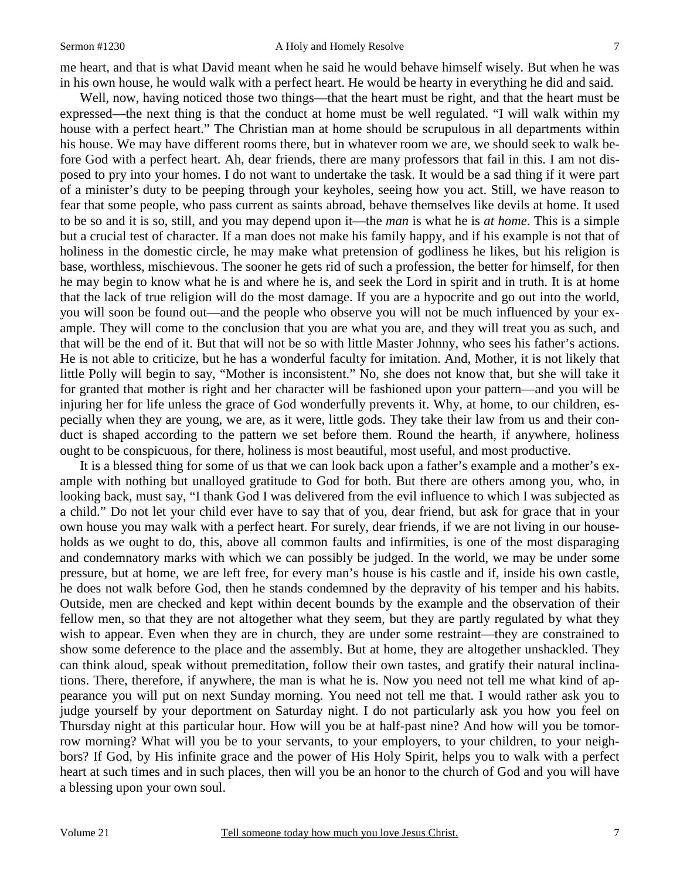#### Sermon #1230 A Holy and Homely Resolve

me heart, and that is what David meant when he said he would behave himself wisely. But when he was in his own house, he would walk with a perfect heart. He would be hearty in everything he did and said.

Well, now, having noticed those two things—that the heart must be right, and that the heart must be expressed—the next thing is that the conduct at home must be well regulated. "I will walk within my house with a perfect heart." The Christian man at home should be scrupulous in all departments within his house. We may have different rooms there, but in whatever room we are, we should seek to walk before God with a perfect heart. Ah, dear friends, there are many professors that fail in this. I am not disposed to pry into your homes. I do not want to undertake the task. It would be a sad thing if it were part of a minister's duty to be peeping through your keyholes, seeing how you act. Still, we have reason to fear that some people, who pass current as saints abroad, behave themselves like devils at home. It used to be so and it is so, still, and you may depend upon it—the *man* is what he is *at home*. This is a simple but a crucial test of character. If a man does not make his family happy, and if his example is not that of holiness in the domestic circle, he may make what pretension of godliness he likes, but his religion is base, worthless, mischievous. The sooner he gets rid of such a profession, the better for himself, for then he may begin to know what he is and where he is, and seek the Lord in spirit and in truth. It is at home that the lack of true religion will do the most damage. If you are a hypocrite and go out into the world, you will soon be found out—and the people who observe you will not be much influenced by your example. They will come to the conclusion that you are what you are, and they will treat you as such, and that will be the end of it. But that will not be so with little Master Johnny, who sees his father's actions. He is not able to criticize, but he has a wonderful faculty for imitation. And, Mother, it is not likely that little Polly will begin to say, "Mother is inconsistent." No, she does not know that, but she will take it for granted that mother is right and her character will be fashioned upon your pattern—and you will be injuring her for life unless the grace of God wonderfully prevents it. Why, at home, to our children, especially when they are young, we are, as it were, little gods. They take their law from us and their conduct is shaped according to the pattern we set before them. Round the hearth, if anywhere, holiness ought to be conspicuous, for there, holiness is most beautiful, most useful, and most productive.

It is a blessed thing for some of us that we can look back upon a father's example and a mother's example with nothing but unalloyed gratitude to God for both. But there are others among you, who, in looking back, must say, "I thank God I was delivered from the evil influence to which I was subjected as a child." Do not let your child ever have to say that of you, dear friend, but ask for grace that in your own house you may walk with a perfect heart. For surely, dear friends, if we are not living in our households as we ought to do, this, above all common faults and infirmities, is one of the most disparaging and condemnatory marks with which we can possibly be judged. In the world, we may be under some pressure, but at home, we are left free, for every man's house is his castle and if, inside his own castle, he does not walk before God, then he stands condemned by the depravity of his temper and his habits. Outside, men are checked and kept within decent bounds by the example and the observation of their fellow men, so that they are not altogether what they seem, but they are partly regulated by what they wish to appear. Even when they are in church, they are under some restraint—they are constrained to show some deference to the place and the assembly. But at home, they are altogether unshackled. They can think aloud, speak without premeditation, follow their own tastes, and gratify their natural inclinations. There, therefore, if anywhere, the man is what he is. Now you need not tell me what kind of appearance you will put on next Sunday morning. You need not tell me that. I would rather ask you to judge yourself by your deportment on Saturday night. I do not particularly ask you how you feel on Thursday night at this particular hour. How will you be at half-past nine? And how will you be tomorrow morning? What will you be to your servants, to your employers, to your children, to your neighbors? If God, by His infinite grace and the power of His Holy Spirit, helps you to walk with a perfect heart at such times and in such places, then will you be an honor to the church of God and you will have a blessing upon your own soul.